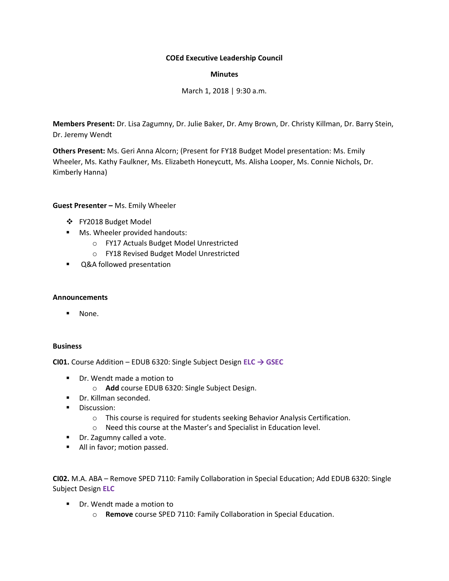# **COEd Executive Leadership Council**

# **Minutes**

March 1, 2018 | 9:30 a.m.

**Members Present:** Dr. Lisa Zagumny, Dr. Julie Baker, Dr. Amy Brown, Dr. Christy Killman, Dr. Barry Stein, Dr. Jeremy Wendt

**Others Present:** Ms. Geri Anna Alcorn; (Present for FY18 Budget Model presentation: Ms. Emily Wheeler, Ms. Kathy Faulkner, Ms. Elizabeth Honeycutt, Ms. Alisha Looper, Ms. Connie Nichols, Dr. Kimberly Hanna)

## **Guest Presenter –** Ms. Emily Wheeler

- ❖ FY2018 Budget Model
- Ms. Wheeler provided handouts:
	- o FY17 Actuals Budget Model Unrestricted
	- o FY18 Revised Budget Model Unrestricted
- Q&A followed presentation

## **Announcements**

▪ None.

## **Business**

**CI01.** Course Addition – EDUB 6320: Single Subject Design **ELC → GSEC**

- Dr. Wendt made a motion to
	- o **Add** course EDUB 6320: Single Subject Design.
- Dr. Killman seconded.
- **■** Discussion:
	- o This course is required for students seeking Behavior Analysis Certification.
	- o Need this course at the Master's and Specialist in Education level.
- Dr. Zagumny called a vote.
- All in favor; motion passed.

**CI02.** M.A. ABA – Remove SPED 7110: Family Collaboration in Special Education; Add EDUB 6320: Single Subject Design **ELC**

- Dr. Wendt made a motion to
	- o **Remove** course SPED 7110: Family Collaboration in Special Education.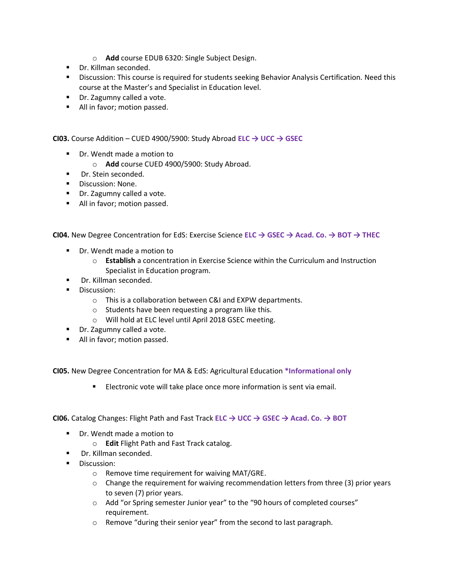- o **Add** course EDUB 6320: Single Subject Design.
- Dr. Killman seconded.
- **EXEDENTIFI** Discussion: This course is required for students seeking Behavior Analysis Certification. Need this course at the Master's and Specialist in Education level.
- Dr. Zagumny called a vote.
- All in favor; motion passed.

**CI03.** Course Addition – CUED 4900/5900: Study Abroad **ELC → UCC → GSEC**

- Dr. Wendt made a motion to
	- o **Add** course CUED 4900/5900: Study Abroad.
- Dr. Stein seconded.
- Discussion: None.
- Dr. Zagumny called a vote.
- All in favor; motion passed.

**CI04.** New Degree Concentration for EdS: Exercise Science **ELC → GSEC → Acad. Co. → BOT → THEC**

- Dr. Wendt made a motion to
	- o **Establish** a concentration in Exercise Science within the Curriculum and Instruction Specialist in Education program.
- Dr. Killman seconded.
- Discussion:
	- o This is a collaboration between C&I and EXPW departments.
	- o Students have been requesting a program like this.
	- o Will hold at ELC level until April 2018 GSEC meeting.
- Dr. Zagumny called a vote.
- All in favor; motion passed.

**CI05.** New Degree Concentration for MA & EdS: Agricultural Education **\*Informational only**

■ Electronic vote will take place once more information is sent via email.

**CI06.** Catalog Changes: Flight Path and Fast Track **ELC → UCC → GSEC → Acad. Co. → BOT**

- Dr. Wendt made a motion to
	- o **Edit** Flight Path and Fast Track catalog.
- Dr. Killman seconded.
- Discussion:
	- o Remove time requirement for waiving MAT/GRE.
	- $\circ$  Change the requirement for waiving recommendation letters from three (3) prior years to seven (7) prior years.
	- o Add "or Spring semester Junior year" to the "90 hours of completed courses" requirement.
	- o Remove "during their senior year" from the second to last paragraph.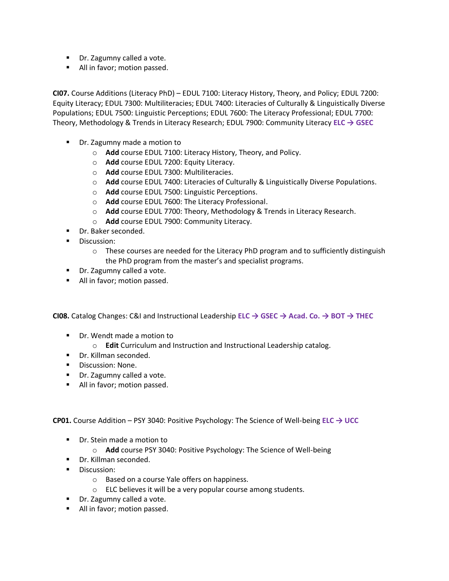- Dr. Zagumny called a vote.
- All in favor; motion passed.

**CI07.** Course Additions (Literacy PhD) – EDUL 7100: Literacy History, Theory, and Policy; EDUL 7200: Equity Literacy; EDUL 7300: Multiliteracies; EDUL 7400: Literacies of Culturally & Linguistically Diverse Populations; EDUL 7500: Linguistic Perceptions; EDUL 7600: The Literacy Professional; EDUL 7700: Theory, Methodology & Trends in Literacy Research; EDUL 7900: Community Literacy **ELC → GSEC**

- Dr. Zagumny made a motion to
	- o **Add** course EDUL 7100: Literacy History, Theory, and Policy.
	- o **Add** course EDUL 7200: Equity Literacy.
	- o **Add** course EDUL 7300: Multiliteracies.
	- o **Add** course EDUL 7400: Literacies of Culturally & Linguistically Diverse Populations.
	- o **Add** course EDUL 7500: Linguistic Perceptions.
	- o **Add** course EDUL 7600: The Literacy Professional.
	- o **Add** course EDUL 7700: Theory, Methodology & Trends in Literacy Research.
	- o **Add** course EDUL 7900: Community Literacy.
- Dr. Baker seconded.
- Discussion:
	- $\circ$  These courses are needed for the Literacy PhD program and to sufficiently distinguish the PhD program from the master's and specialist programs.
- Dr. Zagumny called a vote.
- All in favor; motion passed.

**CI08.** Catalog Changes: C&I and Instructional Leadership **ELC → GSEC → Acad. Co. → BOT → THEC**

- Dr. Wendt made a motion to
	- o **Edit** Curriculum and Instruction and Instructional Leadership catalog.
- Dr. Killman seconded.
- Discussion: None.
- Dr. Zagumny called a vote.
- All in favor; motion passed.

**CP01.** Course Addition – PSY 3040: Positive Psychology: The Science of Well-being **ELC → UCC**

- Dr. Stein made a motion to
	- o **Add** course PSY 3040: Positive Psychology: The Science of Well-being
- Dr. Killman seconded.
- **■** Discussion:
	- o Based on a course Yale offers on happiness.
	- o ELC believes it will be a very popular course among students.
- Dr. Zagumny called a vote.
- All in favor; motion passed.